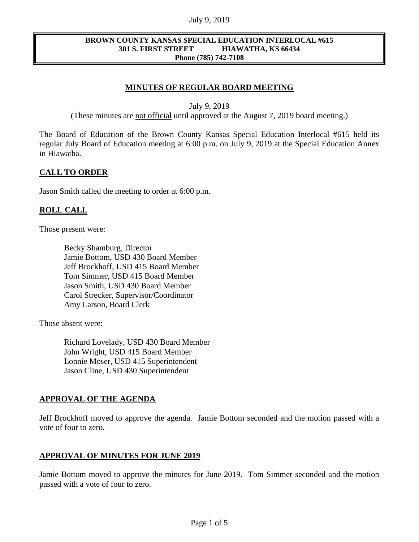#### July 9, 2019

#### **BROWN COUNTY KANSAS SPECIAL EDUCATION INTERLOCAL #615 301 S. FIRST STREET HIAWATHA, KS 66434 Phone (785) 742-7108**

## **MINUTES OF REGULAR BOARD MEETING**

July 9, 2019

(These minutes are not official until approved at the August 7, 2019 board meeting.)

The Board of Education of the Brown County Kansas Special Education Interlocal #615 held its regular July Board of Education meeting at 6:00 p.m. on July 9, 2019 at the Special Education Annex in Hiawatha.

### **CALL TO ORDER**

Jason Smith called the meeting to order at 6:00 p.m.

### **ROLL CALL**

Those present were:

Becky Shamburg, Director Jamie Bottom, USD 430 Board Member Jeff Brockhoff, USD 415 Board Member Tom Simmer, USD 415 Board Member Jason Smith, USD 430 Board Member Carol Strecker, Supervisor/Coordinator Amy Larson, Board Clerk

Those absent were:

Richard Lovelady, USD 430 Board Member John Wright, USD 415 Board Member Lonnie Moser, USD 415 Superintendent Jason Cline, USD 430 Superintendent

#### **APPROVAL OF THE AGENDA**

Jeff Brockhoff moved to approve the agenda. Jamie Bottom seconded and the motion passed with a vote of four to zero.

#### **APPROVAL OF MINUTES FOR JUNE 2019**

Jamie Bottom moved to approve the minutes for June 2019. Tom Simmer seconded and the motion passed with a vote of four to zero.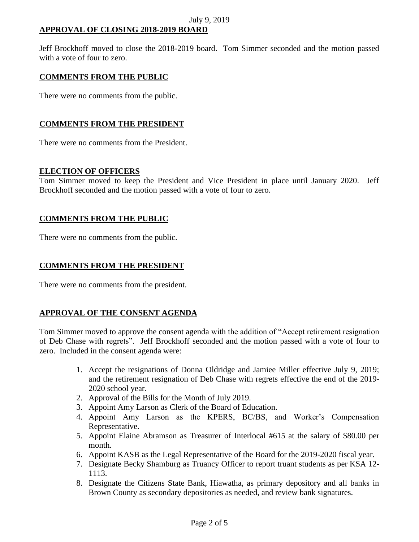# **APPROVAL OF CLOSING 2018-2019 BOARD**

Jeff Brockhoff moved to close the 2018-2019 board. Tom Simmer seconded and the motion passed with a vote of four to zero.

# **COMMENTS FROM THE PUBLIC**

There were no comments from the public.

# **COMMENTS FROM THE PRESIDENT**

There were no comments from the President.

### **ELECTION OF OFFICERS**

Tom Simmer moved to keep the President and Vice President in place until January 2020. Jeff Brockhoff seconded and the motion passed with a vote of four to zero.

# **COMMENTS FROM THE PUBLIC**

There were no comments from the public.

# **COMMENTS FROM THE PRESIDENT**

There were no comments from the president.

# **APPROVAL OF THE CONSENT AGENDA**

Tom Simmer moved to approve the consent agenda with the addition of "Accept retirement resignation of Deb Chase with regrets". Jeff Brockhoff seconded and the motion passed with a vote of four to zero. Included in the consent agenda were:

- 1. Accept the resignations of Donna Oldridge and Jamiee Miller effective July 9, 2019; and the retirement resignation of Deb Chase with regrets effective the end of the 2019- 2020 school year.
- 2. Approval of the Bills for the Month of July 2019.
- 3. Appoint Amy Larson as Clerk of the Board of Education.
- 4. Appoint Amy Larson as the KPERS, BC/BS, and Worker's Compensation Representative.
- 5. Appoint Elaine Abramson as Treasurer of Interlocal #615 at the salary of \$80.00 per month.
- 6. Appoint KASB as the Legal Representative of the Board for the 2019-2020 fiscal year.
- 7. Designate Becky Shamburg as Truancy Officer to report truant students as per KSA 12- 1113.
- 8. Designate the Citizens State Bank, Hiawatha, as primary depository and all banks in Brown County as secondary depositories as needed, and review bank signatures.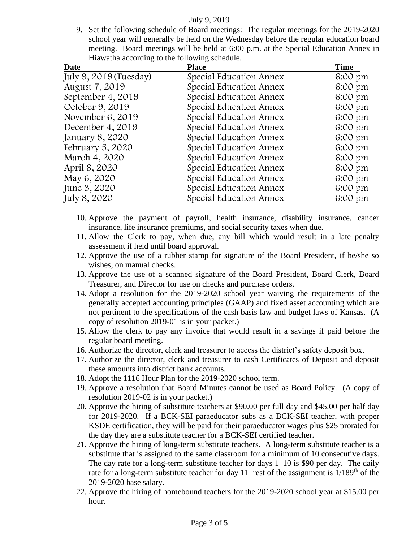#### July 9, 2019

9. Set the following schedule of Board meetings: The regular meetings for the 2019-2020 school year will generally be held on the Wednesday before the regular education board meeting. Board meetings will be held at 6:00 p.m. at the Special Education Annex in Hiawatha according to the following schedule.

| <b>Date</b>            | <b>Place</b>            | <b>Time</b> |
|------------------------|-------------------------|-------------|
| July 9, 2019 (Tuesday) | Special Education Annex | 6:00 pm     |
| August 7, 2019         | Special Education Annex | 6:00 pm     |
| September 4, 2019      | Special Education Annex | 6:00 pm     |
| October 9, 2019        | Special Education Annex | 6:00 pm     |
| November 6, 2019       | Special Education Annex | 6:00 pm     |
| December 4, 2019       | Special Education Annex | 6:00 pm     |
| January 8, 2020        | Special Education Annex | 6:00 pm     |
| February 5, 2020       | Special Education Annex | 6:00 pm     |
| March 4, 2020          | Special Education Annex | 6:00 pm     |
| April 8, 2020          | Special Education Annex | 6:00 pm     |
| May 6, 2020            | Special Education Annex | 6:00 pm     |
| June 3, 2020           | Special Education Annex | 6:00 pm     |
| July 8, 2020           | Special Education Annex | 6:00 pm     |
|                        |                         |             |

- 10. Approve the payment of payroll, health insurance, disability insurance, cancer insurance, life insurance premiums, and social security taxes when due.
- 11. Allow the Clerk to pay, when due, any bill which would result in a late penalty assessment if held until board approval.
- 12. Approve the use of a rubber stamp for signature of the Board President, if he/she so wishes, on manual checks.
- 13. Approve the use of a scanned signature of the Board President, Board Clerk, Board Treasurer, and Director for use on checks and purchase orders.
- 14. Adopt a resolution for the 2019-2020 school year waiving the requirements of the generally accepted accounting principles (GAAP) and fixed asset accounting which are not pertinent to the specifications of the cash basis law and budget laws of Kansas. (A copy of resolution 2019-01 is in your packet.)
- 15. Allow the clerk to pay any invoice that would result in a savings if paid before the regular board meeting.
- 16. Authorize the director, clerk and treasurer to access the district's safety deposit box.
- 17. Authorize the director, clerk and treasurer to cash Certificates of Deposit and deposit these amounts into district bank accounts.
- 18. Adopt the 1116 Hour Plan for the 2019-2020 school term.
- 19. Approve a resolution that Board Minutes cannot be used as Board Policy. (A copy of resolution 2019-02 is in your packet.)
- 20. Approve the hiring of substitute teachers at \$90.00 per full day and \$45.00 per half day for 2019-2020. If a BCK-SEI paraeducator subs as a BCK-SEI teacher, with proper KSDE certification, they will be paid for their paraeducator wages plus \$25 prorated for the day they are a substitute teacher for a BCK-SEI certified teacher.
- 21. Approve the hiring of long-term substitute teachers. A long-term substitute teacher is a substitute that is assigned to the same classroom for a minimum of 10 consecutive days. The day rate for a long-term substitute teacher for days  $1-10$  is \$90 per day. The daily rate for a long-term substitute teacher for day 11–rest of the assignment is  $1/189<sup>th</sup>$  of the 2019-2020 base salary.
- 22. Approve the hiring of homebound teachers for the 2019-2020 school year at \$15.00 per hour.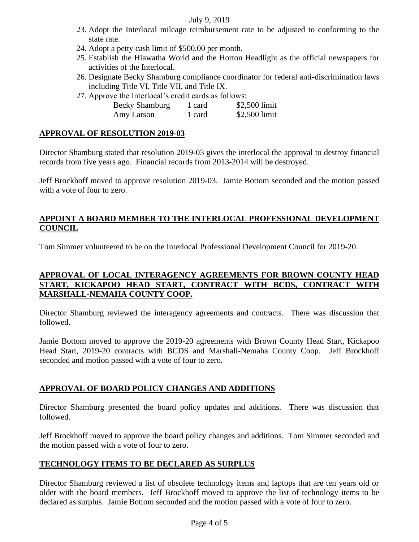### July 9, 2019

- 23. Adopt the Interlocal mileage reimbursement rate to be adjusted to conforming to the state rate.
- 24. Adopt a petty cash limit of \$500.00 per month.
- 25. Establish the Hiawatha World and the Horton Headlight as the official newspapers for activities of the Interlocal.
- 26. Designate Becky Shamburg compliance coordinator for federal anti-discrimination laws including Title VI, Title VII, and Title IX.
- 27. Approve the Interlocal's credit cards as follows:

| <b>Becky Shamburg</b> | 1 card | \$2,500 limit |
|-----------------------|--------|---------------|
| Amy Larson            | 1 card | \$2,500 limit |

### **APPROVAL OF RESOLUTION 2019-03**

Director Shamburg stated that resolution 2019-03 gives the interlocal the approval to destroy financial records from five years ago. Financial records from 2013-2014 will be destroyed.

Jeff Brockhoff moved to approve resolution 2019-03. Jamie Bottom seconded and the motion passed with a vote of four to zero.

# **APPOINT A BOARD MEMBER TO THE INTERLOCAL PROFESSIONAL DEVELOPMENT COUNCIL**

Tom Simmer volunteered to be on the Interlocal Professional Development Council for 2019-20.

# **APPROVAL OF LOCAL INTERAGENCY AGREEMENTS FOR BROWN COUNTY HEAD START, KICKAPOO HEAD START, CONTRACT WITH BCDS, CONTRACT WITH MARSHALL-NEMAHA COUNTY COOP.**

Director Shamburg reviewed the interagency agreements and contracts. There was discussion that followed.

Jamie Bottom moved to approve the 2019-20 agreements with Brown County Head Start, Kickapoo Head Start, 2019-20 contracts with BCDS and Marshall-Nemaha County Coop. Jeff Brockhoff seconded and motion passed with a vote of four to zero.

# **APPROVAL OF BOARD POLICY CHANGES AND ADDITIONS**

Director Shamburg presented the board policy updates and additions. There was discussion that followed.

Jeff Brockhoff moved to approve the board policy changes and additions. Tom Simmer seconded and the motion passed with a vote of four to zero.

# **TECHNOLOGY ITEMS TO BE DECLARED AS SURPLUS**

Director Shamburg reviewed a list of obsolete technology items and laptops that are ten years old or older with the board members. Jeff Brockhoff moved to approve the list of technology items to be declared as surplus. Jamie Bottom seconded and the motion passed with a vote of four to zero.